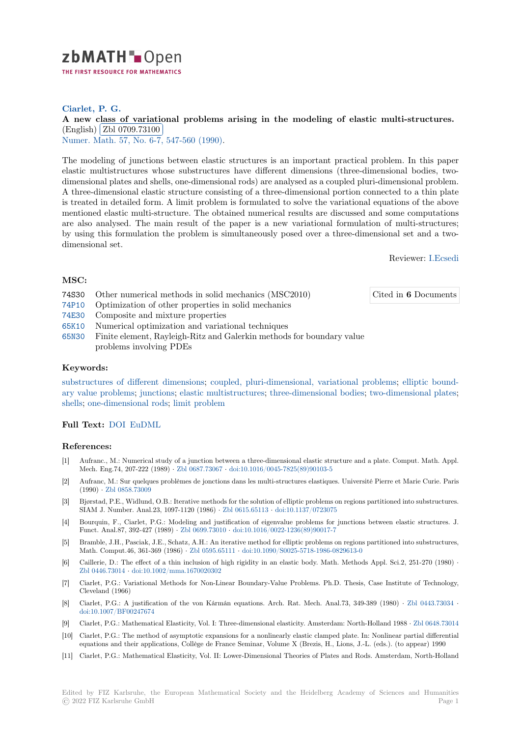

# **Ciarlet, P. G.**

# [A](https://zbmath.org/) new class of variational problems arising in the modeling of elastic multi-structures. (English) Zbl 0709.73100

Numer. Math. 57, No. 6-7, 547-560 (1990).

[The modeling of junctions between elastic structures is an important practical problem. In this pape](https://zbmath.org/0709.73100)r elastic m[ultistructures who](https://zbmath.org/0709.73100)se substructures have different dimensions (three-dimensional bodies, two[dimensional pl](https://zbmath.org/journals/?q=se:610)[ates and shells, one-dimensio](https://zbmath.org/?q=in:221885)nal rods) are analysed as a coupled pluri-dimensional problem. A three-dimensional elastic structure consisting of a three-dimensional portion connected to a thin plate is treated in detailed form. A limit problem is formulated to solve the variational equations of the above mentioned elastic multi-structure. The obtained numerical results are discussed and some computations are also analysed. The main result of the paper is a new variational formulation of multi-structures; by using this formulation the problem is simultaneously posed over a three-dimensional set and a twodimensional set.

Reviewer: I.Ecsedi

Cited in **6** Do[cuments](https://zbmath.org/authors/?q=ecsedi.istvan)

# **MSC:**

- 74S30 Other numerical methods in solid mechanics (MSC2010)
- 74P10 Optimization of other properties in solid mechanics
- 74E30 Composite and mixture properties
- 65K10 Numerical optimization and variational techniques
- 65N30 Finite element, Rayleigh-Ritz and Galerkin methods for boundary value problems involving PDEs

### **[Keyw](https://zbmath.org/classification/?q=cc:65K10)ords:**

[substr](https://zbmath.org/classification/?q=cc:65N30)uctures of different dimensions; coupled, pluri-dimensional, variational problems; elliptic boundary value problems; junctions; elastic multistructures; three-dimensional bodies; two-dimensional plates; shells; one-dimensional rods; limit problem

### **[Full Text:](https://zbmath.org/?q=ut:substructures+of+different+dimensions)** DOI EuDML

#### **[Refer](https://zbmath.org/?q=ut:shells)[ences:](https://zbmath.org/?q=ut:one-dimensional+rods)**

- [1] Aufranc., M.: Numerical study of a junction between a three-dimensional elastic structure and a plate. Comput. Math. Appl. Mech. En[g.74,](https://dx.doi.org/10.1007/BF01386427)2[07-222 \(198](https://eudml.org/doc/133465)9) *·* Zbl 0687.73067 *·* doi:10.1016/0045-7825(89)90103-5
- [2] Aufranc, M.: Sur quelques problèmes de jonctions dans les multi-structures elastiques. Université Pierre et Marie Curie. Paris (1990) *·* Zbl 0858.73009
- [3] Bjørstad, P.E., Widlund, O.B.: Iterative methods for the solution of elliptic problems on regions partitioned into substructures. SIAM J. Number. Anal.23, 109[7-1120 \(1986\)](https://zbmath.org/0687.73067) *·* Zbl 0615.65113 *·* [doi:10.1137/072307](https://dx.doi.org/10.1016/0045-7825(89)90103-5)5
- [4] Bourquin, F., Ciarlet, P.G.: Modeling and justification of eigenvalue problems for junctions between elastic structures. J. Funct. [Anal.87, 392-427](https://zbmath.org/0858.73009) (1989) *·* Zbl 0699.73010 *·* doi:10.1016/0022-1236(89)90017-7
- [5] Bramble, J.H., Pasciak, J.E., Schatz, A.H.: An iterative method for elliptic problems on regions partitioned into substructures, Math. Comput.46, 361-369 (1986) *·* Zbl 0595.65111 *·* [doi:10.10](https://zbmath.org/0615.65113)9[0/S0025-5718-1986-08](https://dx.doi.org/10.1137/0723075)29613-0
- [6] Caillerie, D.: The effect of a thin inclusion of high rigidity in an elastic body. Math. Methods Appl. Sci.2, 251-270 (1980) *·* Zbl 0446.73014 *·* doi:10.1002/m[ma.1670020302](https://zbmath.org/0699.73010)
- [7] Ciarlet, P.G.: Variational Methods for Non-Linear Boundary-Value Problems. Ph.D. Thesis, Case Institute of Technology, Cleveland (1966)
- [8] Ciarlet, P.G.: A justification of the von Kármán equations. Arch. Rat. Mech. Anal.73, 349-389 (1980) *·* Zbl 0443.73034 *·* [doi:10.1007/BF](https://zbmath.org/0446.73014)0[0247674](https://dx.doi.org/10.1002/mma.1670020302)
- [9] Ciarlet, P.G.: Mathematical Elasticity, Vol. I: Three-dimensional elasticity. Amsterdam: North-Holland 1988 *·* Zbl 0648.73014
- [10] Ciarlet, P.G.: The method of asymptotic expansions for a nonlinearly elastic clamped plate. In: Nonlinear partial differential equations and their applications, Collège de France Seminar, Volume X (Brezis, H., Lions, J.-L. (eds.). (to [appear\) 1990](https://zbmath.org/0443.73034)
- [11] [Ciarlet, P.G.: Mathemat](https://dx.doi.org/10.1007/BF00247674)ical Elasticity, Vol. II: Lower-Dimensional Theories of Plates and Rods. Amsterdam, North-Holland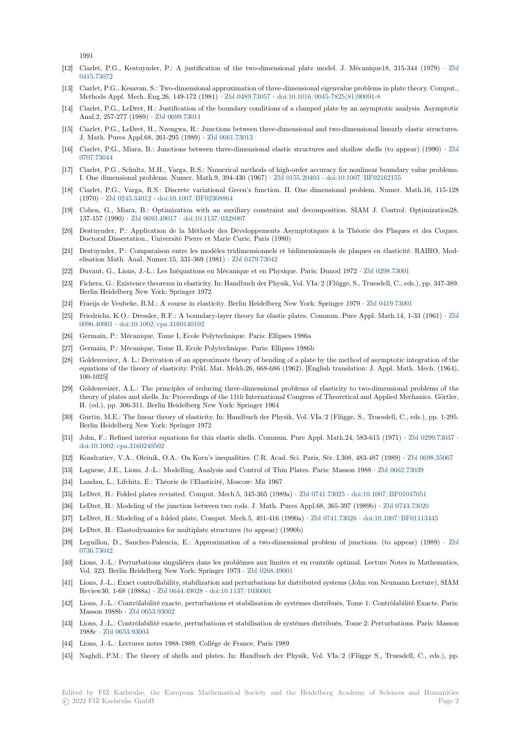1991

- [12] Ciarlet, P.G., Kestuynder, P.: A justification of the two-dimensional plate model. J. Mécanique18, 315-344 (1979) *·* Zbl 0415.73072
- [13] Ciarlet, P.G., Kesavan, S.: Two-dimensional approximation of three-dimensional eigenvalue problems in plate theory. Comput., Methods Appl. Mech. Eng.26, 149-172 (1981) *·* Zbl 0489.73057 *·* doi:10.1016/0045-7825(81)90091-8
- [14] Ciarlet, P.G., LeDret, H.: Justification of the boundary conditions of a clamped plate by an asymptotic analysis. Asympt[otic](https://zbmath.org/0415.73072) [Anal.2, 257](https://zbmath.org/0415.73072)-277 (1989) *·* Zbl 0699.73011
- [15] Ciarlet, P.G., LeDret, H., Nzengwa, R.: Junctions between three-dimensional and two-dimensional linearly elastic structures. J. Math. Pures Appl.68, 261-295 (1989) *·* Zbl0[661.73013](https://zbmath.org/0489.73057)
- [16] Ciarlet, P.G., Miara, B.: Junctions between three-dimensional elastic structures and shallow shells (to appear) (1990) *·* Zbl 0707.73044
- [17] Ciarlet, P.G., Schultz, M.H., Varga, R.S.: Numerical methods of high-order accuracy for nonlinear boundary value problems. I. One dimensional problems. Numer. Ma[th.9, 394-430 \(1](https://zbmath.org/0661.73013)967) *·* Zbl 0155.20403 *·* doi:10.1007/BF02162155
- [18] Ciarlet, P.G., Varga, R.S.: Discrete variational Green's function. II. One dimensional problem. Numer. Math.16, 115-[128](https://zbmath.org/0707.73044) [\(1970\)](https://zbmath.org/0707.73044) *·* Zbl 0245.34012 *·* doi:10.1007/BF02308864
- [19] Cohen, G., Miara, B.: Optimization with an auxiliary constraint and decomposition. SIAM J. Control. Optimization28, 137-157 (1990) *·* Zbl 0693.49017 *·* doi:10.1137/0328007
- [20] Destuynder, P.: Application de la Méthode des Développements Asymptotiques à la Théorie des Plaques et des Coques. Doctora[l Dissertation., U](https://zbmath.org/0245.34012)[niversité Pierre et Marie](https://dx.doi.org/10.1007/BF02308864) Curie, Paris (1980)
- [21] Destuynder, P.: Comparaison entre les modèles tridimensionnels et bidimensionnels de plaques en élasticité. RAIRO, Modelisation Math. [Anal. Numer.15,](https://zbmath.org/0693.49017) [331-369 \(1981\)](https://dx.doi.org/10.1137/0328007) *·* Zbl 0479.73042
- [22] Duvaut, G., Lions, J.-L.: Les Inéquations en Mécanique et en Physique. Paris: Dunod 1972 *·* Zbl 0298.73001
- [23] Fichera, G.: Existence theorems in elasticity. In: Handbuch der Physik, Vol. VIa/2 (Flügge, S., Truesdell, C., eds.), pp. 347-389. Berlin Heidelberg New York: Springer 1972
- [24] Fraeijs de Veubeke, B.M.: A course in elasticity. [Berlin Heidelber](https://zbmath.org/0479.73042)g New York: Springer 1979 *·* Zbl 0419.73001
- [25] Friedrichs, K.O.: Dressler, R.F.: A boundary-layer theory for elastic plates. Commun. Pure [Appl. Math.14, 1](https://zbmath.org/0298.73001)-33 (1961) *·* Zbl 0096.40001 *·* doi:10.1002/cpa.3160140102
- [26] Germain, P.: Mécanique, Tome I, Ecole Polytechnique. Paris: Ellipses 1986a
- [27] Germain, P.: Mécanique, Tome II, Ecole Polytechnique. Paris: Ellipses 1986b
- [28] Goldenveizer, A. L.: Derivation of an approximate theory of bending of a plate by the method of asymptotic integration of [the](https://zbmath.org/0096.40001) [equations o](https://zbmath.org/0096.40001)f [the theory of elasticity. Prikl](https://dx.doi.org/10.1002/cpa.3160140102). Mat. Mekh.26, 668-686 (1962). [English translation: J. Appl. Math. Mech. (1964), 100-1025]
- [29] Goldenveizer, A.L.: The principles of reducing three-dimensional problems of elasticity to two-dimensional problems of the theory of plates and shells. In: Proceedings of the 11th International Congress of Theoretical and Applied Mechanics. Görtler, H. (ed.), pp. 306-311. Berlin Heidelberg New York: Springer 1964
- [30] Gurtin, M.E.: The linear theory of elasticity. In: Handbuch der Physik, Vol. VIa/2 (Flügge, S., Truesdell, C., eds.), pp. 1-295. Berlin Heidelberg New York: Springer 1972
- [31] John, F.: Refined interior equations for thin elastic shells. Commun. Pure Appl. Math.24, 583-615 (1971) *·* Zbl 0299.73037 *·* doi:10.1002/cpa.3160240502
- [32] Kondratiev, V.A., Oleinik, O.A.: On Korn's inequalities. C.R. Acad. Sci. Paris, Sér. I,308, 483-487 (1989) *·* Zbl 0698.35067
- [33] Lagnese, J.E., Lions, J.-L.: Modelling, Analysis and Control of Thin Plates. Paris: Masson 1988 *·* Zbl 0662.73039
- [34] Landau, L., Lifchitz, E.: Théorie de l'Elasticité, Moscow: Mir 1967
- [35] [LeDret, H.: Folded plates re](https://dx.doi.org/10.1002/cpa.3160240502)visited. Comput. Mech.5, 345-365 (1989a) *·* Zbl 0741.73025 *·* doi:10.1007/BF01047051
- [36] LeDret, H.: Modeling of the junction between two rods. J. Math. Pures Appl.68, 365-397 (1989b) *·* Zbl 074[3.73020](https://zbmath.org/0698.35067)
- [37] LeDret, H.: Modeling of a folded plate, Comput. Mech.5, 401-416 (1990a) *·* Zbl 0741.73026 *·* doi:[10.1007/BF0111](https://zbmath.org/0662.73039)3445
- [38] LeDret, H.: Elastodynamics for multiplate structures (to appear) (1990b)
- [39] Leguillon, D., Sanchez-Palencia, E.: Approximation of a two-dimensio[nal problem of](https://zbmath.org/0741.73025)j[unctions. \(to appear\) \(1](https://dx.doi.org/10.1007/BF01047051)[9](https://zbmath.org/0743.73020)89) *·* Zbl 0736.73042
- [40] Lions, J.-L.: Perturbations singulières dans les problèmes aux limites et en [contrôle optima](https://zbmath.org/0741.73026)l. [Lecture Notes in Mathem](https://dx.doi.org/10.1007/BF01113445)atics, Vol. 323. Berlin Heidelberg New York: Springer 1973 *·* Zbl 0268.49001
- [41] Lions, J.-L.: Exact controllability, stabilization and perturbations for distributed systems (John von Neumann Lecture), SI[AM](https://zbmath.org/0736.73042) [Review30, 1](https://zbmath.org/0736.73042)-68 (1988a) *·* Zbl 0644.49028 *·* doi:10.1137/1030001
- [42] Lions, J.-L.: Contrôlabilité exacte, perturbations et stabilisation de systèmes distribués, Tome 1: Contrôlabilité Exacte. Paris: Masson 1988b *·* Zbl 0653.93002
- [43] Lions, J.-L.: Contrôlabilité exacte, perturbations et stabilisation de systèmes distribués, Tome 2: Perturbations. Paris: Masson 1988c *·* Zbl 0653.93003
- [44] Lions, J.-L.: Lectures notes 1988-1989. Collège de France, Paris 1989
- [45] Naghdi, P.M.: [The theory of sh](https://zbmath.org/0653.93002)ells and plates. In: Handbuch der Physik, Vol. VIa/2 (Flügge S., Truesdell, C., eds.), pp.